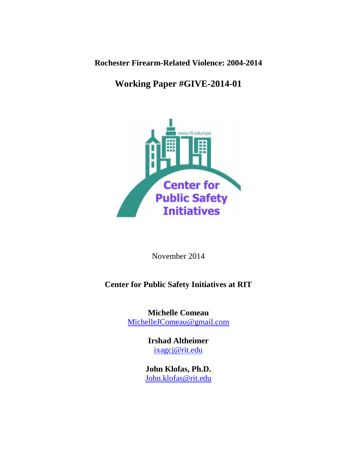**Rochester Firearm-Related Violence: 2004-2014**

# **Working Paper #GIVE-2014-01**



November 2014

# **Center for Public Safety Initiatives at RIT**

**Michelle Comeau** [MichelleJComeau@gmail.com](mailto:MichelleJComeau@gmail.com)

> **Irshad Altheimer** [ixagcj@rit.edu](mailto:ixagcj@rit.edu)

**John Klofas, Ph.D.**  [John.klofas@rit.edu](mailto:John.klofas@rit.edu)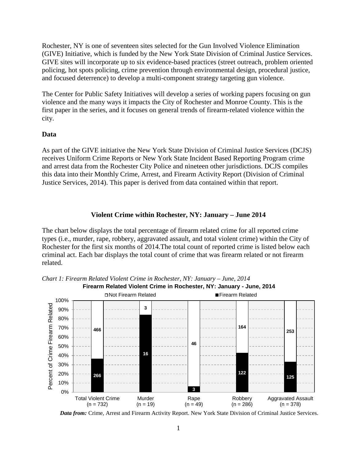Rochester, NY is one of seventeen sites selected for the Gun Involved Violence Elimination (GIVE) Initiative, which is funded by the New York State Division of Criminal Justice Services. GIVE sites will incorporate up to six evidence-based practices (street outreach, problem oriented policing, hot spots policing, crime prevention through environmental design, procedural justice, and focused deterrence) to develop a multi-component strategy targeting gun violence.

The Center for Public Safety Initiatives will develop a series of working papers focusing on gun violence and the many ways it impacts the City of Rochester and Monroe County. This is the first paper in the series, and it focuses on general trends of firearm-related violence within the city.

# **Data**

As part of the GIVE initiative the New York State Division of Criminal Justice Services (DCJS) receives Uniform Crime Reports or New York State Incident Based Reporting Program crime and arrest data from the Rochester City Police and nineteen other jurisdictions. DCJS compiles this data into their Monthly Crime, Arrest, and Firearm Activity Report (Division of Criminal Justice Services, 2014). This paper is derived from data contained within that report.

# **Violent Crime within Rochester, NY: January – June 2014**

The chart below displays the total percentage of firearm related crime for all reported crime types (i.e., murder, rape, robbery, aggravated assault, and total violent crime) within the City of Rochester for the first six months of 2014.The total count of reported crime is listed below each criminal act. Each bar displays the total count of crime that was firearm related or not firearm related.



*Chart 1: Firearm Related Violent Crime in Rochester, NY: January – June, 2014* **Firearm Related Violent Crime in Rochester, NY: January - June, 2014**

*Data from:* Crime, Arrest and Firearm Activity Report. New York State Division of Criminal Justice Services.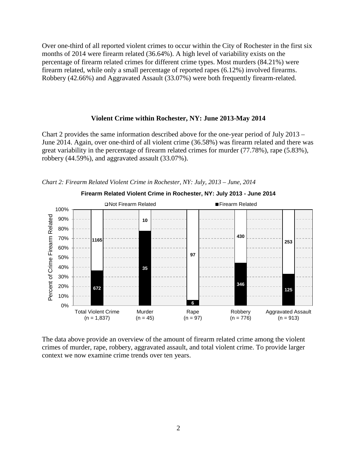Over one-third of all reported violent crimes to occur within the City of Rochester in the first six months of 2014 were firearm related (36.64%). A high level of variability exists on the percentage of firearm related crimes for different crime types. Most murders (84.21%) were firearm related, while only a small percentage of reported rapes (6.12%) involved firearms. Robbery (42.66%) and Aggravated Assault (33.07%) were both frequently firearm-related.

#### **Violent Crime within Rochester, NY: June 2013-May 2014**

Chart 2 provides the same information described above for the one-year period of July 2013 – June 2014. Again, over one-third of all violent crime (36.58%) was firearm related and there was great variability in the percentage of firearm related crimes for murder (77.78%), rape (5.83%), robbery (44.59%), and aggravated assault (33.07%).





The data above provide an overview of the amount of firearm related crime among the violent crimes of murder, rape, robbery, aggravated assault, and total violent crime. To provide larger context we now examine crime trends over ten years.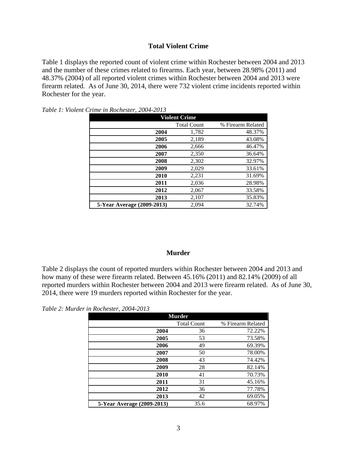### **Total Violent Crime**

Table 1 displays the reported count of violent crime within Rochester between 2004 and 2013 and the number of these crimes related to firearms. Each year, between 28.98% (2011) and 48.37% (2004) of all reported violent crimes within Rochester between 2004 and 2013 were firearm related. As of June 30, 2014, there were 732 violent crime incidents reported within Rochester for the year.

| <b>Violent Crime</b>       |                    |                   |
|----------------------------|--------------------|-------------------|
|                            | <b>Total Count</b> | % Firearm Related |
| 2004                       | 1,782              | 48.37%            |
| 2005                       | 2,189              | 43.08%            |
| 2006                       | 2,666              | 46.47%            |
| 2007                       | 2,350              | 36.64%            |
| 2008                       | 2,302              | 32.97%            |
| 2009                       | 2,029              | 33.61%            |
| 2010                       | 2,231              | 31.69%            |
| 2011                       | 2,036              | 28.98%            |
| 2012                       | 2,067              | 33.58%            |
| 2013                       | 2,107              | 35.83%            |
| 5-Year Average (2009-2013) | 2.094              | 32.74%            |

*Table 1: Violent Crime in Rochester, 2004-2013*

### **Murder**

Table 2 displays the count of reported murders within Rochester between 2004 and 2013 and how many of these were firearm related. Between 45.16% (2011) and 82.14% (2009) of all reported murders within Rochester between 2004 and 2013 were firearm related. As of June 30, 2014, there were 19 murders reported within Rochester for the year.

*Table 2: Murder in Rochester, 2004-2013*

| <b>Murder</b>              |                    |                   |
|----------------------------|--------------------|-------------------|
|                            | <b>Total Count</b> | % Firearm Related |
| 2004                       | 36                 | 72.22%            |
| 2005                       | 53                 | 73.58%            |
| 2006                       | 49                 | 69.39%            |
| 2007                       | 50                 | 78.00%            |
| 2008                       | 43                 | 74.42%            |
| 2009                       | 28                 | 82.14%            |
| 2010                       | 41                 | 70.73%            |
| 2011                       | 31                 | 45.16%            |
| 2012                       | 36                 | 77.78%            |
| 2013                       | 42                 | 69.05%            |
| 5-Year Average (2009-2013) | 35.6               | 68.97%            |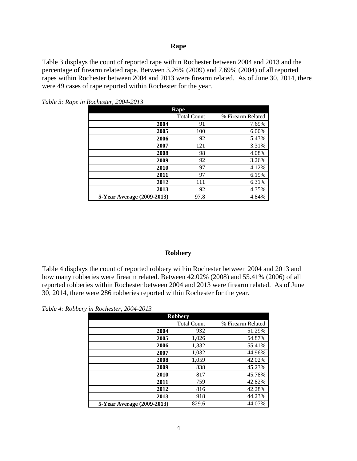#### **Rape**

Table 3 displays the count of reported rape within Rochester between 2004 and 2013 and the percentage of firearm related rape. Between 3.26% (2009) and 7.69% (2004) of all reported rapes within Rochester between 2004 and 2013 were firearm related. As of June 30, 2014, there were 49 cases of rape reported within Rochester for the year.

| Rape                       |                    |                   |
|----------------------------|--------------------|-------------------|
|                            | <b>Total Count</b> | % Firearm Related |
| 2004                       | 91                 | 7.69%             |
| 2005                       | 100                | 6.00%             |
| 2006                       | 92                 | 5.43%             |
| 2007                       | 121                | 3.31%             |
| 2008                       | 98                 | 4.08%             |
| 2009                       | 92                 | 3.26%             |
| 2010                       | 97                 | 4.12%             |
| 2011                       | 97                 | 6.19%             |
| 2012                       | 111                | 6.31%             |
| 2013                       | 92                 | 4.35%             |
| 5-Year Average (2009-2013) | 97.8               | 4.84%             |

*Table 3: Rape in Rochester, 2004-2013*

#### **Robbery**

Table 4 displays the count of reported robbery within Rochester between 2004 and 2013 and how many robberies were firearm related. Between 42.02% (2008) and 55.41% (2006) of all reported robberies within Rochester between 2004 and 2013 were firearm related. As of June 30, 2014, there were 286 robberies reported within Rochester for the year.

*Table 4: Robbery in Rochester, 2004-2013*

| <b>Robbery</b>             |                    |                   |
|----------------------------|--------------------|-------------------|
|                            | <b>Total Count</b> | % Firearm Related |
| 2004                       | 932                | 51.29%            |
| 2005                       | 1,026              | 54.87%            |
| 2006                       | 1,332              | 55.41%            |
| 2007                       | 1,032              | 44.96%            |
| 2008                       | 1,059              | 42.02%            |
| 2009                       | 838                | 45.23%            |
| 2010                       | 817                | 45.78%            |
| 2011                       | 759                | 42.82%            |
| 2012                       | 816                | 42.28%            |
| 2013                       | 918                | 44.23%            |
| 5-Year Average (2009-2013) | 829.6              | 44.07%            |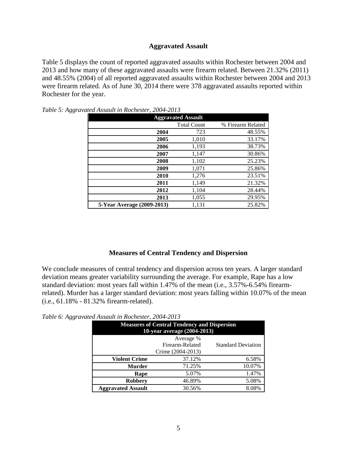### **Aggravated Assault**

Table 5 displays the count of reported aggravated assaults within Rochester between 2004 and 2013 and how many of these aggravated assaults were firearm related. Between 21.32% (2011) and 48.55% (2004) of all reported aggravated assaults within Rochester between 2004 and 2013 were firearm related. As of June 30, 2014 there were 378 aggravated assaults reported within Rochester for the year.

| <b>Aggravated Assault</b>  |                    |                   |
|----------------------------|--------------------|-------------------|
|                            | <b>Total Count</b> | % Firearm Related |
| 2004                       | 723                | 48.55%            |
| 2005                       | 1,010              | 33.17%            |
| 2006                       | 1,193              | 38.73%            |
| 2007                       | 1,147              | 30.86%            |
| 2008                       | 1,102              | 25.23%            |
| 2009                       | 1,071              | 25.86%            |
| 2010                       | 1,276              | 23.51%            |
| 2011                       | 1,149              | 21.32%            |
| 2012                       | 1,104              | 28.44%            |
| 2013                       | 1,055              | 29.95%            |
| 5-Year Average (2009-2013) | 1,131              | 25.82%            |

*Table 5: Aggravated Assault in Rochester, 2004-2013*

#### **Measures of Central Tendency and Dispersion**

We conclude measures of central tendency and dispersion across ten years. A larger standard deviation means greater variability surrounding the average. For example, Rape has a low standard deviation: most years fall within 1.47% of the mean (i.e., 3.57%-6.54% firearmrelated). Murder has a larger standard deviation: most years falling within 10.07% of the mean (i.e., 61.18% - 81.32% firearm-related).

*Table 6: Aggravated Assault in Rochester, 2004-2013*

| <b>Measures of Central Tendency and Dispersion</b><br>10-year average (2004-2013) |        |        |
|-----------------------------------------------------------------------------------|--------|--------|
| Average %<br>Firearm-Related<br><b>Standard Deviation</b><br>Crime (2004-2013)    |        |        |
| <b>Violent Crime</b>                                                              | 37.12% | 6.58%  |
| <b>Murder</b>                                                                     | 71.25% | 10.07% |
| Rape                                                                              | 5.07%  | 1.47%  |
| <b>Robbery</b>                                                                    | 46.89% | 5.08%  |
| <b>Aggravated Assault</b>                                                         | 30.56% | 8.08%  |